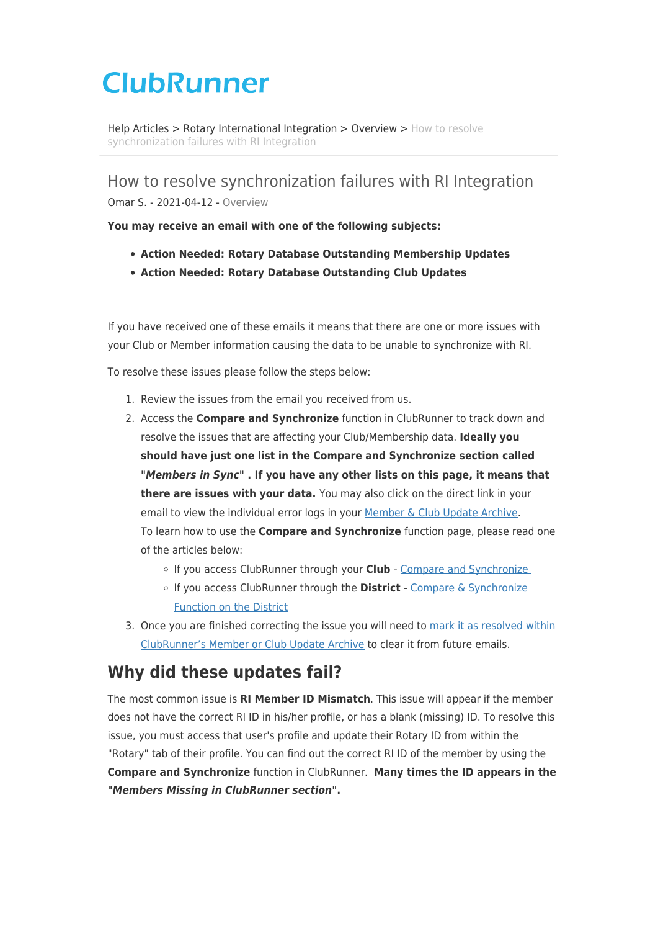# **ClubRunner**

[Help Articles](https://www.clubrunnersupport.com/kb) > [Rotary International Integration](https://www.clubrunnersupport.com/kb/rotary-international-integration-2) > [Overview](https://www.clubrunnersupport.com/kb/overview) > [How to resolve](https://www.clubrunnersupport.com/kb/articles/how-to-resolve-synchronization-failures-with-ri-integration) [synchronization failures with RI Integration](https://www.clubrunnersupport.com/kb/articles/how-to-resolve-synchronization-failures-with-ri-integration)

How to resolve synchronization failures with RI Integration Omar S. - 2021-04-12 - [Overview](https://www.clubrunnersupport.com/kb/overview)

**You may receive an email with one of the following subjects:**

- **Action Needed: Rotary Database Outstanding Membership Updates**
- **Action Needed: Rotary Database Outstanding Club Updates**

If you have received one of these emails it means that there are one or more issues with your Club or Member information causing the data to be unable to synchronize with RI.

To resolve these issues please follow the steps below:

- 1. Review the issues from the email you received from us.
- 2. Access the **Compare and Synchronize** function in ClubRunner to track down and resolve the issues that are affecting your Club/Membership data. **Ideally you should have just one list in the Compare and Synchronize section called** *"Members in Sync"* **. If you have any other lists on this page, it means that there are issues with your data.** You may also click on the direct link in your email to view the individual error logs in your [Member & Club Update Archive.](https://clubrunnersupport.com/kb/articles/how-to-resolve-synchronization-failures-with-ri-integration#anchor-1) To learn how to use the **Compare and Synchronize** function page, please read one of the articles below:
	- If you access ClubRunner through your **Club** - [Compare and Synchronize](https://clubrunnersupport.com/kb/articles/how-to-use-the-compare-synchronize-function)
	- If you access ClubRunner through the **District**  [Compare & Synchronize](https://clubrunnersupport.com/kb/articles/how-to-use-the-compare-synchronize-function-on-the-district) [Function on the District](https://clubrunnersupport.com/kb/articles/how-to-use-the-compare-synchronize-function-on-the-district)
- 3. Once you are finished correcting the issue you will need to [mark it as resolved within](https://clubrunnersupport.com/kb/articles/how-to-resolve-synchronization-failures-with-ri-integration#anchor-2) [ClubRunner's Member or Club Update Archive](https://clubrunnersupport.com/kb/articles/how-to-resolve-synchronization-failures-with-ri-integration#anchor-2) to clear it from future emails.

# **Why did these updates fail?**

The most common issue is **RI Member ID Mismatch**. This issue will appear if the member does not have the correct RI ID in his/her profile, or has a blank (missing) ID. To resolve this issue, you must access that user's profile and update their Rotary ID from within the "Rotary" tab of their profile. You can find out the correct RI ID of the member by using the **Compare and Synchronize** function in ClubRunner. **Many times the ID appears in the "***Members Missing in ClubRunner section"***.**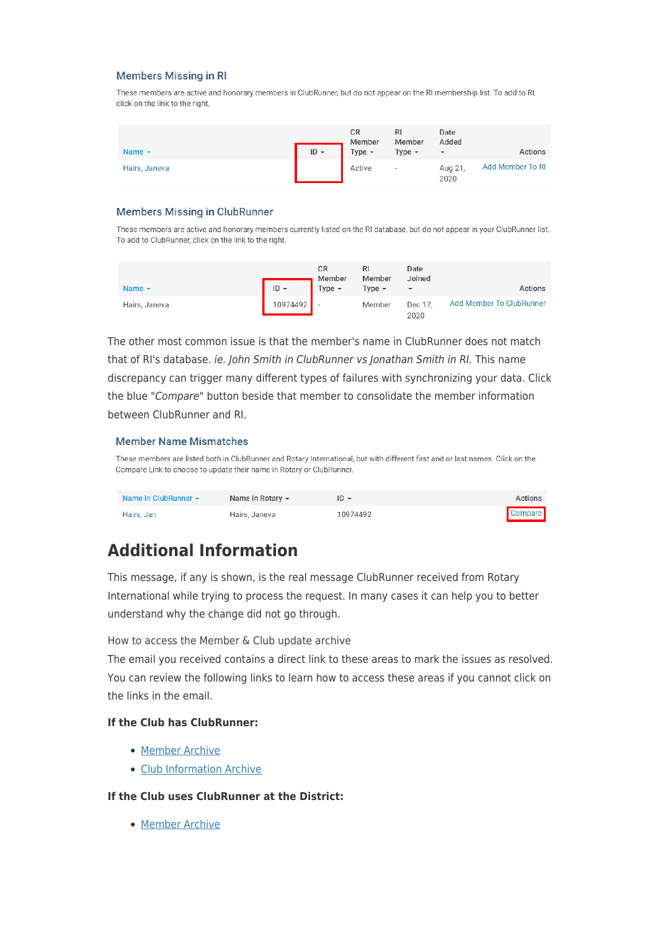#### **Members Missing in RI**

These members are active and honorary members in ClubRunner, but do not appear on the RI membership list. To add to RI, click on the link to the right.

| Name $\sim$   | $ID -$ | <b>CR</b><br><b>Member</b><br>Type $\sim$ | RI<br>Member<br>Type $\sim$ | Date<br>Added<br>$\overline{\phantom{a}}$ | <b>Actions</b>   |
|---------------|--------|-------------------------------------------|-----------------------------|-------------------------------------------|------------------|
| Hairs, Janeva |        | Active                                    | ۰                           | Aug 21,<br>2020                           | Add Member To RI |

#### **Members Missing in ClubRunner**

These members are active and honorary members currently listed on the RI database, but do not appear in your ClubRunner list. To add to ClubRunner, click on the link to the right.

| Name $\sim$   | $ID -$   | <b>CR</b><br>Member<br>Type $\sim$ | Member<br>Type $\sim$ | Date<br><b>Joined</b><br>$\overline{\phantom{a}}$ | <b>Actions</b>           |
|---------------|----------|------------------------------------|-----------------------|---------------------------------------------------|--------------------------|
| Hairs, Janeva | 10974492 |                                    | Member                | Dec 17.<br>2020                                   | Add Member To ClubRunner |

The other most common issue is that the member's name in ClubRunner does not match that of RI's database. ie. John Smith in ClubRunner vs Jonathan Smith in RI. This name discrepancy can trigger many different types of failures with synchronizing your data. Click the blue "Compare" button beside that member to consolidate the member information between ClubRunner and RI.

#### **Member Name Mismatches**

These members are listed both in ClubRunner and Rotary International, but with different first and or last names. Click on the Compare Link to choose to update their name in Rotary or ClubRunner.

| Name in ClubRunner $\sim$ | Name in Rotary $\sim$ | $ID -$   | <b>Actions</b> |
|---------------------------|-----------------------|----------|----------------|
| Hairs, Jan                | Hairs, Janeva         | 10974492 | <b>Compare</b> |

# **Additional Information**

This message, if any is shown, is the real message ClubRunner received from Rotary International while trying to process the request. In many cases it can help you to better understand why the change did not go through.

How to access the Member & Club update archive

The email you received contains a direct link to these areas to mark the issues as resolved. You can review the following links to learn how to access these areas if you cannot click on the links in the email.

#### **If the Club has ClubRunner:**

- [Member Archive](https://clubrunnersupport.com/kb/articles/ri-member-update-archive)
- [Club Information Archive](https://clubrunnersupport.com/kb/articles/club-updates-archive)

#### **If the Club uses ClubRunner at the District:**

• [Member Archive](https://clubrunnersupport.com/kb/articles/how-to-use-the-ri-integration-member-updates-archive-on-the-district)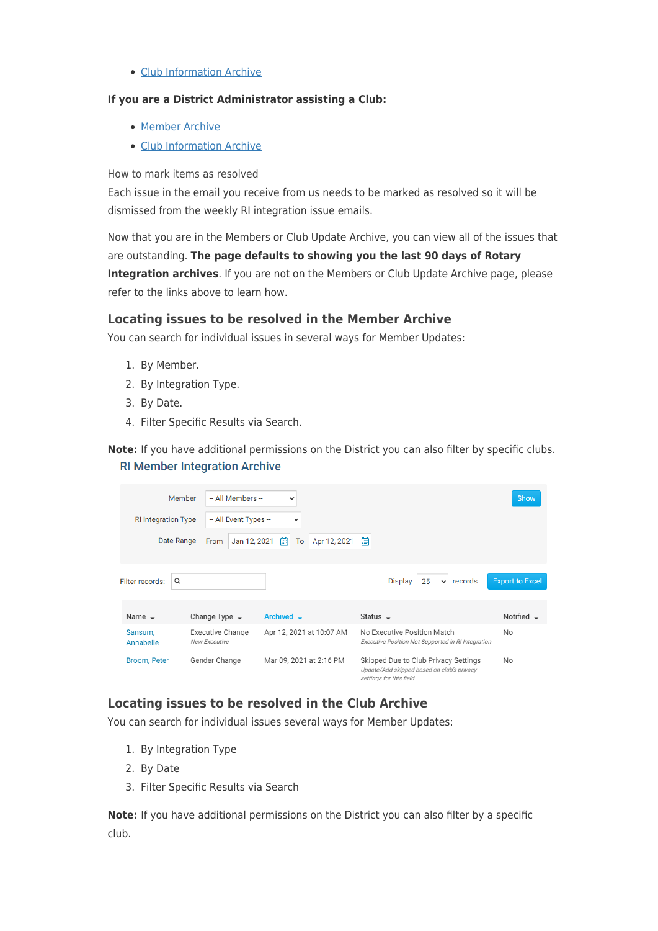• [Club Information Archive](https://clubrunnersupport.com/kb/articles/club-updates-archive-on-the-district)

#### **If you are a District Administrator assisting a Club:**

- [Member Archive](https://clubrunnersupport.com/kb/articles/how-to-use-the-ri-integration-updates-archive-district)
- [Club Information Archive](https://clubrunnersupport.com/kb/articles/club-updates-archive-district)

How to mark items as resolved

Each issue in the email you receive from us needs to be marked as resolved so it will be dismissed from the weekly RI integration issue emails.

Now that you are in the Members or Club Update Archive, you can view all of the issues that are outstanding. **The page defaults to showing you the last 90 days of Rotary Integration archives**. If you are not on the Members or Club Update Archive page, please refer to the links above to learn how.

### **Locating issues to be resolved in the Member Archive**

You can search for individual issues in several ways for Member Updates:

- 1. By Member.
- 2. By Integration Type.
- 3. By Date.
- 4. Filter Specific Results via Search.

**Note:** If you have additional permissions on the District you can also filter by specific clubs. **RI Member Integration Archive** 

| Member                     | -- All Members --                 | $\checkmark$             |                                                                                                               | Show                   |
|----------------------------|-----------------------------------|--------------------------|---------------------------------------------------------------------------------------------------------------|------------------------|
| <b>RI</b> Integration Type | -- All Event Types --             | $\checkmark$             |                                                                                                               |                        |
| Date Range                 | Jan 12, 2021<br>From              | 箘<br>To<br>Apr 12, 2021  | 餔                                                                                                             |                        |
| Filter records:<br>Q       |                                   |                          | 25<br><b>Display</b><br>records<br>$\checkmark$                                                               | <b>Export to Excel</b> |
| Name $\sim$                | Change Type $\rightarrow$         | Archived -               | Status $\rightarrow$                                                                                          | Notified $\sim$        |
| Sansum,<br>Annabelle       | Executive Change<br>New Executive | Apr 12, 2021 at 10:07 AM | No Executive Position Match<br>Executive Position Not Supported in RI Integration                             | No                     |
| Broom, Peter               | Gender Change                     | Mar 09, 2021 at 2:16 PM  | Skipped Due to Club Privacy Settings<br>Update/Add skipped based on club's privacy<br>settings for this field | No                     |

## **Locating issues to be resolved in the Club Archive**

You can search for individual issues several ways for Member Updates:

- 1. By Integration Type
- 2. By Date
- 3. Filter Specific Results via Search

**Note:** If you have additional permissions on the District you can also filter by a specific club.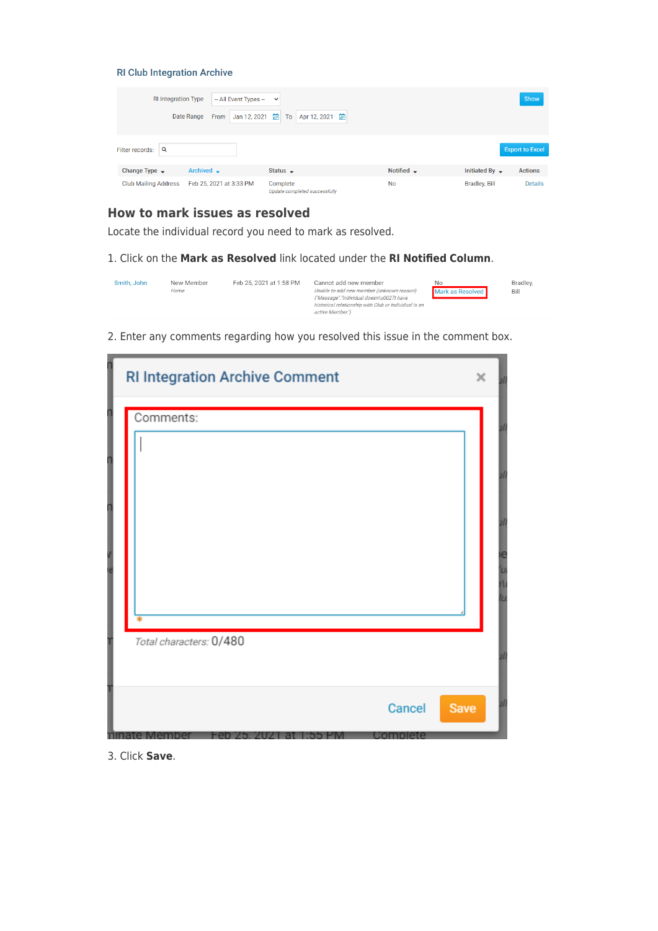#### **RI Club Integration Archive**

| RI Integration Type         | -- All Event Types --<br>Date Range<br>Jan 12, 2021<br>From | $\sim$<br>曲<br>通<br>Apr 12, 2021<br>To    |                        |                            | Show                   |
|-----------------------------|-------------------------------------------------------------|-------------------------------------------|------------------------|----------------------------|------------------------|
| Filter records:<br>Q        |                                                             |                                           |                        |                            | <b>Export to Excel</b> |
| Change Type $\rightarrow$   | Archived -                                                  | Status $\sim$                             | Notified $\rightarrow$ | Initiated By $\rightarrow$ | <b>Actions</b>         |
| <b>Club Mailing Address</b> | Feb 25, 2021 at 3:33 PM                                     | Complete<br>Update completed successfully | <b>No</b>              | <b>Bradley, Bill</b>       | <b>Details</b>         |

## **How to mark issues as resolved**

Locate the individual record you need to mark as resolved.

1. Click on the **Mark as Resolved** link located under the **RI Notified Column**.

| Unable to add new member (unknown reason)<br>Mark as Resolved<br>Bill<br>Home<br>{"Message":"Individual doesn\u0027t have<br>historical relationship with Club or Individual is an<br>active Member." | Smith, John | No | Feb 25, 2021 at 1:58 PM<br>New Member<br>Cannot add new member | Bradley, |
|-------------------------------------------------------------------------------------------------------------------------------------------------------------------------------------------------------|-------------|----|----------------------------------------------------------------|----------|
|-------------------------------------------------------------------------------------------------------------------------------------------------------------------------------------------------------|-------------|----|----------------------------------------------------------------|----------|

2. Enter any comments regarding how you resolved this issue in the comment box.

| <b>RI Integration Archive Comment</b>   | $\times$ |
|-----------------------------------------|----------|
| Comments:<br>Total characters: 0/480    |          |
| Cancel<br>Save<br>-en /5.<br>70 J<br>eп |          |

3. Click **Save**.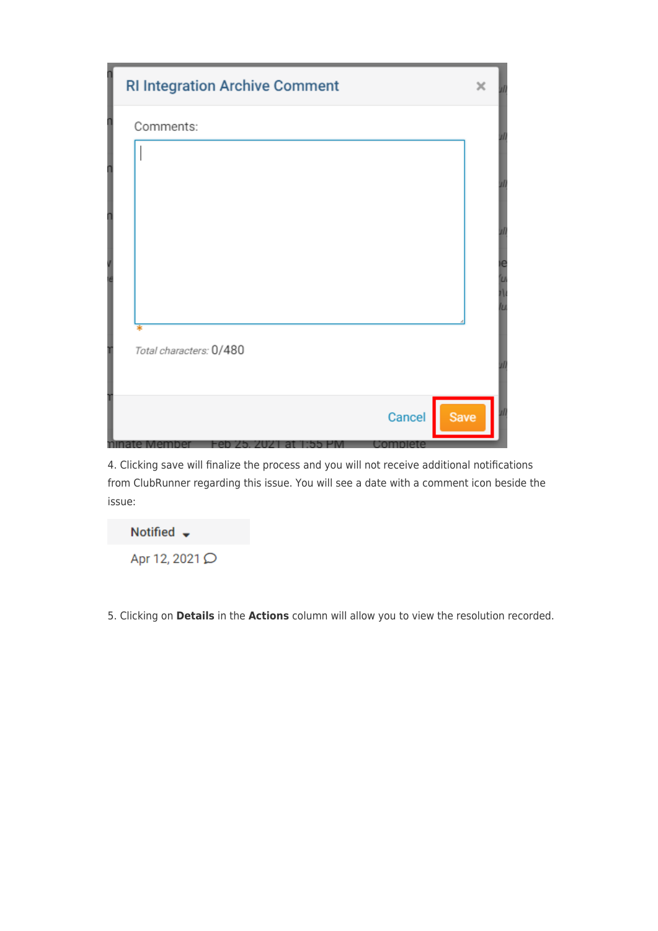| <b>RI Integration Archive Comment</b> | × |  |
|---------------------------------------|---|--|
| Comments:                             |   |  |
|                                       |   |  |
|                                       |   |  |
|                                       |   |  |
|                                       |   |  |
|                                       |   |  |
|                                       |   |  |
| Total characters: 0/480               |   |  |
|                                       |   |  |
| Cancel<br><b>Save</b>                 |   |  |
| complete                              |   |  |

4. Clicking save will finalize the process and you will not receive additional notifications from ClubRunner regarding this issue. You will see a date with a comment icon beside the issue:



5. Clicking on **Details** in the **Actions** column will allow you to view the resolution recorded.